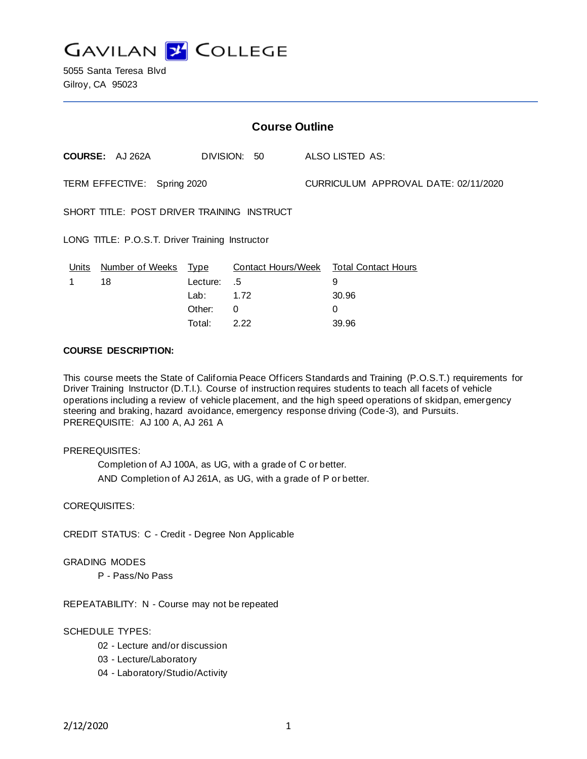

5055 Santa Teresa Blvd Gilroy, CA 95023

| <b>Course Outline</b>                           |                             |          |                           |  |                                      |  |
|-------------------------------------------------|-----------------------------|----------|---------------------------|--|--------------------------------------|--|
|                                                 | COURSE: AJ262A              |          | DIVISION: 50              |  | ALSO LISTED AS:                      |  |
| TERM EFFECTIVE: Spring 2020                     |                             |          |                           |  | CURRICULUM APPROVAL DATE: 02/11/2020 |  |
| SHORT TITLE: POST DRIVER TRAINING INSTRUCT      |                             |          |                           |  |                                      |  |
| LONG TITLE: P.O.S.T. Driver Training Instructor |                             |          |                           |  |                                      |  |
| <u>Units</u>                                    | <u>Number of Weeks Type</u> |          | <b>Contact Hours/Week</b> |  | <b>Total Contact Hours</b>           |  |
|                                                 | 18                          | Lecture: | .5                        |  | 9                                    |  |
|                                                 |                             | Lab: La  | 1.72                      |  | 30.96                                |  |
|                                                 |                             | Other:   | 0                         |  | 0                                    |  |
|                                                 |                             | Total:   | 2.22                      |  | 39.96                                |  |

### **COURSE DESCRIPTION:**

This course meets the State of California Peace Officers Standards and Training (P.O.S.T.) requirements for Driver Training Instructor (D.T.I.). Course of instruction requires students to teach all facets of vehicle operations including a review of vehicle placement, and the high speed operations of skidpan, emergency steering and braking, hazard avoidance, emergency response driving (Code-3), and Pursuits. PREREQUISITE: AJ 100 A, AJ 261 A

### PREREQUISITES:

Completion of AJ 100A, as UG, with a grade of C or better. AND Completion of AJ 261A, as UG, with a grade of P or better.

### COREQUISITES:

CREDIT STATUS: C - Credit - Degree Non Applicable

### GRADING MODES

P - Pass/No Pass

REPEATABILITY: N - Course may not be repeated

### SCHEDULE TYPES:

- 02 Lecture and/or discussion
- 03 Lecture/Laboratory
- 04 Laboratory/Studio/Activity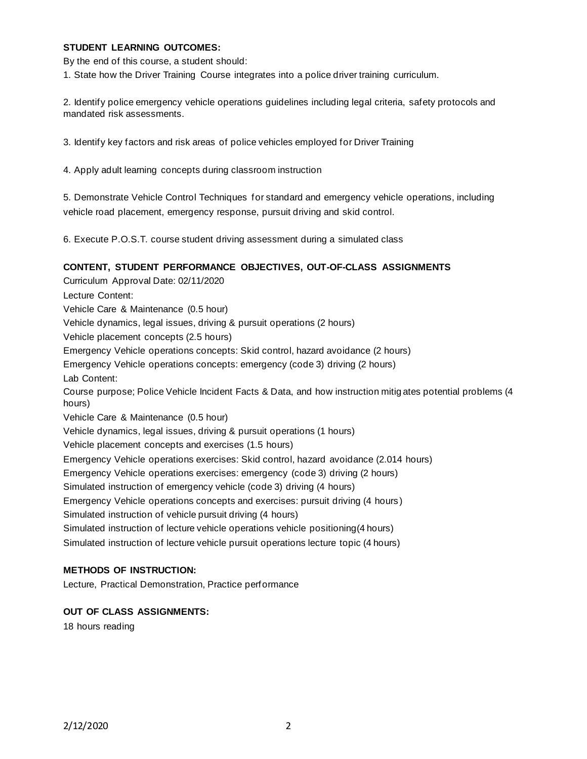## **STUDENT LEARNING OUTCOMES:**

By the end of this course, a student should:

1. State how the Driver Training Course integrates into a police driver training curriculum.

2. Identify police emergency vehicle operations guidelines including legal criteria, safety protocols and mandated risk assessments.

3. Identify key factors and risk areas of police vehicles employed for Driver Training

4. Apply adult learning concepts during classroom instruction

5. Demonstrate Vehicle Control Techniques for standard and emergency vehicle operations, including vehicle road placement, emergency response, pursuit driving and skid control.

6. Execute P.O.S.T. course student driving assessment during a simulated class

## **CONTENT, STUDENT PERFORMANCE OBJECTIVES, OUT-OF-CLASS ASSIGNMENTS**

Curriculum Approval Date: 02/11/2020 Lecture Content: Vehicle Care & Maintenance (0.5 hour) Vehicle dynamics, legal issues, driving & pursuit operations (2 hours) Vehicle placement concepts (2.5 hours) Emergency Vehicle operations concepts: Skid control, hazard avoidance (2 hours) Emergency Vehicle operations concepts: emergency (code 3) driving (2 hours) Lab Content: Course purpose; Police Vehicle Incident Facts & Data, and how instruction mitig ates potential problems (4 hours) Vehicle Care & Maintenance (0.5 hour) Vehicle dynamics, legal issues, driving & pursuit operations (1 hours) Vehicle placement concepts and exercises (1.5 hours) Emergency Vehicle operations exercises: Skid control, hazard avoidance (2.014 hours) Emergency Vehicle operations exercises: emergency (code 3) driving (2 hours) Simulated instruction of emergency vehicle (code 3) driving (4 hours) Emergency Vehicle operations concepts and exercises: pursuit driving (4 hours ) Simulated instruction of vehicle pursuit driving (4 hours) Simulated instruction of lecture vehicle operations vehicle positioning(4 hours) Simulated instruction of lecture vehicle pursuit operations lecture topic (4 hours)

# **METHODS OF INSTRUCTION:**

Lecture, Practical Demonstration, Practice performance

## **OUT OF CLASS ASSIGNMENTS:**

18 hours reading